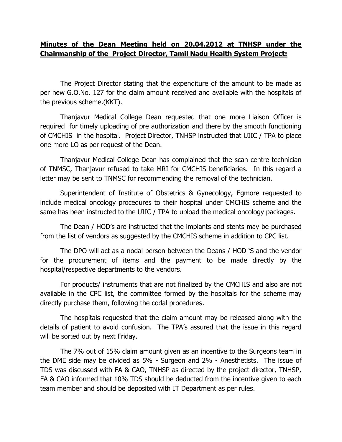## **Minutes of the Dean Meeting held on 20.04.2012 at TNHSP under the Chairmanship of the Project Director, Tamil Nadu Health System Project:**

The Project Director stating that the expenditure of the amount to be made as per new G.O.No. 127 for the claim amount received and available with the hospitals of the previous scheme.(KKT).

Thanjavur Medical College Dean requested that one more Liaison Officer is required for timely uploading of pre authorization and there by the smooth functioning of CMCHIS in the hospital. Project Director, TNHSP instructed that UIIC / TPA to place one more LO as per request of the Dean.

Thanjavur Medical College Dean has complained that the scan centre technician of TNMSC, Thanjavur refused to take MRI for CMCHIS beneficiaries. In this regard a letter may be sent to TNMSC for recommending the removal of the technician.

Superintendent of Institute of Obstetrics & Gynecology, Egmore requested to include medical oncology procedures to their hospital under CMCHIS scheme and the same has been instructed to the UIIC / TPA to upload the medical oncology packages.

The Dean / HOD's are instructed that the implants and stents may be purchased from the list of vendors as suggested by the CMCHIS scheme in addition to CPC list.

The DPO will act as a nodal person between the Deans / HOD 'S and the vendor for the procurement of items and the payment to be made directly by the hospital/respective departments to the vendors.

For products/ instruments that are not finalized by the CMCHIS and also are not available in the CPC list, the committee formed by the hospitals for the scheme may directly purchase them, following the codal procedures.

The hospitals requested that the claim amount may be released along with the details of patient to avoid confusion. The TPA's assured that the issue in this regard will be sorted out by next Friday.

The 7% out of 15% claim amount given as an incentive to the Surgeons team in the DME side may be divided as 5% - Surgeon and 2% - Anesthetists. The issue of TDS was discussed with FA & CAO, TNHSP as directed by the project director, TNHSP, FA & CAO informed that 10% TDS should be deducted from the incentive given to each team member and should be deposited with IT Department as per rules.